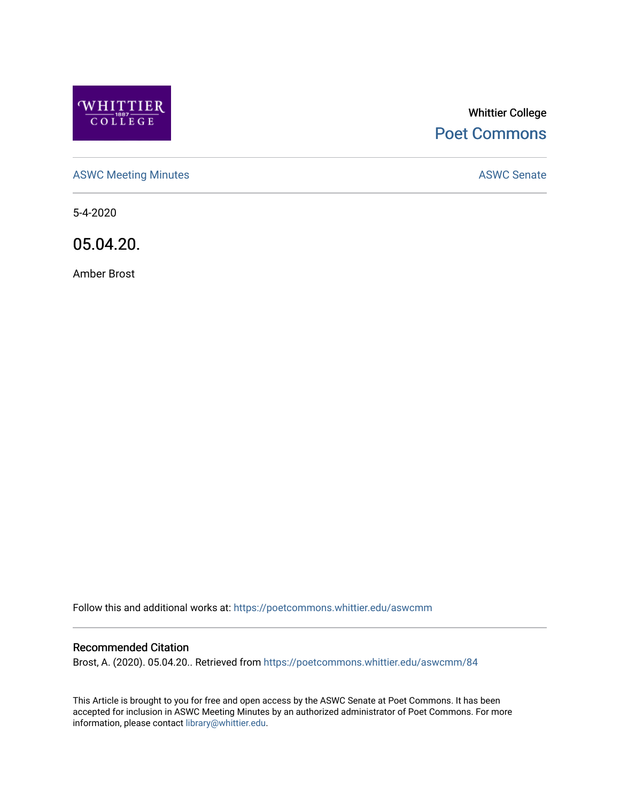

# Whittier College [Poet Commons](https://poetcommons.whittier.edu/)

[ASWC Meeting Minutes](https://poetcommons.whittier.edu/aswcmm) **ASWC Senate** 

5-4-2020

05.04.20.

Amber Brost

Follow this and additional works at: [https://poetcommons.whittier.edu/aswcmm](https://poetcommons.whittier.edu/aswcmm?utm_source=poetcommons.whittier.edu%2Faswcmm%2F84&utm_medium=PDF&utm_campaign=PDFCoverPages)

#### Recommended Citation

Brost, A. (2020). 05.04.20.. Retrieved from [https://poetcommons.whittier.edu/aswcmm/84](https://poetcommons.whittier.edu/aswcmm/84?utm_source=poetcommons.whittier.edu%2Faswcmm%2F84&utm_medium=PDF&utm_campaign=PDFCoverPages)

This Article is brought to you for free and open access by the ASWC Senate at Poet Commons. It has been accepted for inclusion in ASWC Meeting Minutes by an authorized administrator of Poet Commons. For more information, please contact [library@whittier.edu.](mailto:library@whittier.edu)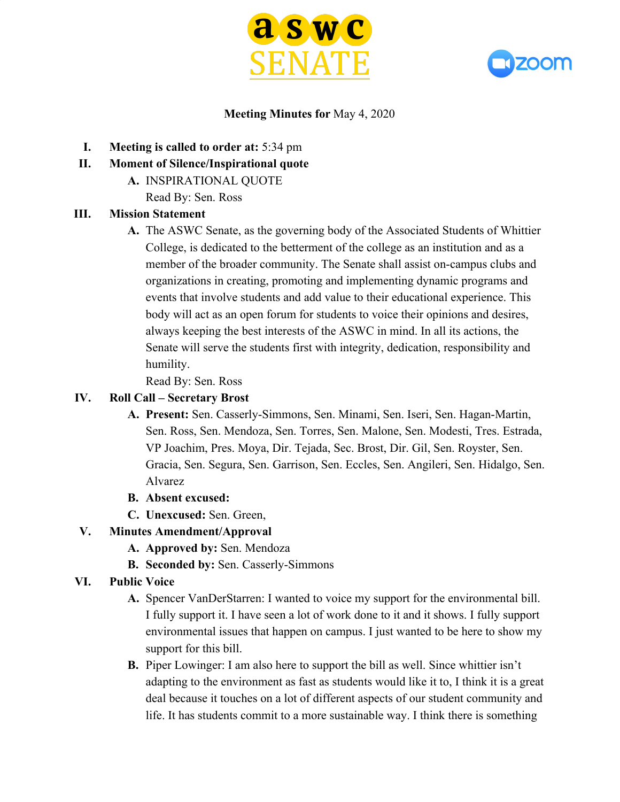



## **Meeting Minutes for** May 4, 2020

- **I. Meeting is called to order at:** 5:34 pm
- **II. Moment of Silence/Inspirational quote**
	- **A.** INSPIRATIONAL QUOTE
		- Read By: Sen. Ross

### **III. Mission Statement**

**A.** The ASWC Senate, as the governing body of the Associated Students of Whittier College, is dedicated to the betterment of the college as an institution and as a member of the broader community. The Senate shall assist on-campus clubs and organizations in creating, promoting and implementing dynamic programs and events that involve students and add value to their educational experience. This body will act as an open forum for students to voice their opinions and desires, always keeping the best interests of the ASWC in mind. In all its actions, the Senate will serve the students first with integrity, dedication, responsibility and humility.

Read By: Sen. Ross

#### **IV. Roll Call – Secretary Brost**

- **A. Present:** Sen. Casserly-Simmons, Sen. Minami, Sen. Iseri, Sen. Hagan-Martin, Sen. Ross, Sen. Mendoza, Sen. Torres, Sen. Malone, Sen. Modesti, Tres. Estrada, VP Joachim, Pres. Moya, Dir. Tejada, Sec. Brost, Dir. Gil, Sen. Royster, Sen. Gracia, Sen. Segura, Sen. Garrison, Sen. Eccles, Sen. Angileri, Sen. Hidalgo, Sen. Alvarez
- **B. Absent excused:**
- **C. Unexcused:** Sen. Green,

# **V. Minutes Amendment/Approval**

- **A. Approved by:** Sen. Mendoza
- **B. Seconded by:** Sen. Casserly-Simmons
- **VI. Public Voice**
	- **A.** Spencer VanDerStarren: I wanted to voice my support for the environmental bill. I fully support it. I have seen a lot of work done to it and it shows. I fully support environmental issues that happen on campus. I just wanted to be here to show my support for this bill.
	- **B.** Piper Lowinger: I am also here to support the bill as well. Since whittier isn't adapting to the environment as fast as students would like it to, I think it is a great deal because it touches on a lot of different aspects of our student community and life. It has students commit to a more sustainable way. I think there is something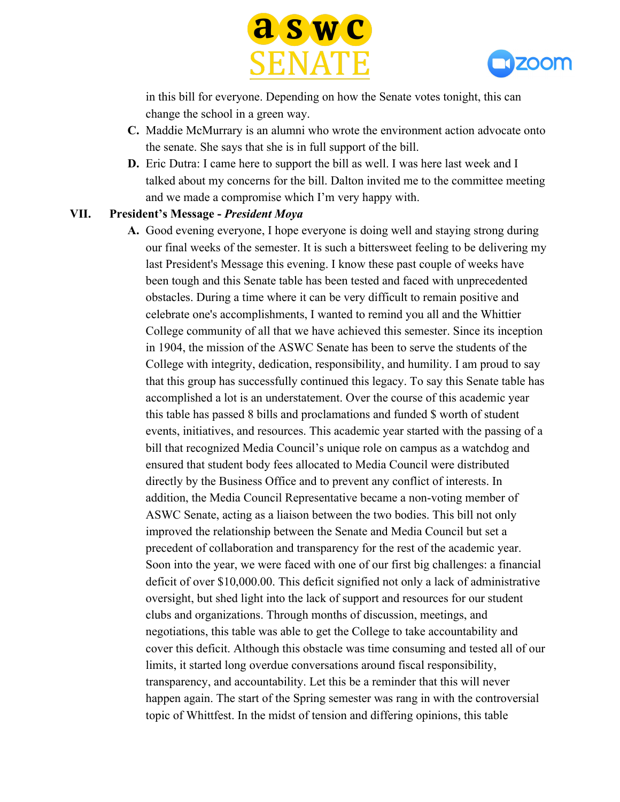



in this bill for everyone. Depending on how the Senate votes tonight, this can change the school in a green way.

- **C.** Maddie McMurrary is an alumni who wrote the environment action advocate onto the senate. She says that she is in full support of the bill.
- **D.** Eric Dutra: I came here to support the bill as well. I was here last week and I talked about my concerns for the bill. Dalton invited me to the committee meeting and we made a compromise which I'm very happy with.

#### **VII. President's Message -** *President Moya*

**A.** Good evening everyone, I hope everyone is doing well and staying strong during our final weeks of the semester. It is such a bittersweet feeling to be delivering my last President's Message this evening. I know these past couple of weeks have been tough and this Senate table has been tested and faced with unprecedented obstacles. During a time where it can be very difficult to remain positive and celebrate one's accomplishments, I wanted to remind you all and the Whittier College community of all that we have achieved this semester. Since its inception in 1904, the mission of the ASWC Senate has been to serve the students of the College with integrity, dedication, responsibility, and humility. I am proud to say that this group has successfully continued this legacy. To say this Senate table has accomplished a lot is an understatement. Over the course of this academic year this table has passed 8 bills and proclamations and funded \$ worth of student events, initiatives, and resources. This academic year started with the passing of a bill that recognized Media Council's unique role on campus as a watchdog and ensured that student body fees allocated to Media Council were distributed directly by the Business Office and to prevent any conflict of interests. In addition, the Media Council Representative became a non-voting member of ASWC Senate, acting as a liaison between the two bodies. This bill not only improved the relationship between the Senate and Media Council but set a precedent of collaboration and transparency for the rest of the academic year. Soon into the year, we were faced with one of our first big challenges: a financial deficit of over \$10,000.00. This deficit signified not only a lack of administrative oversight, but shed light into the lack of support and resources for our student clubs and organizations. Through months of discussion, meetings, and negotiations, this table was able to get the College to take accountability and cover this deficit. Although this obstacle was time consuming and tested all of our limits, it started long overdue conversations around fiscal responsibility, transparency, and accountability. Let this be a reminder that this will never happen again. The start of the Spring semester was rang in with the controversial topic of Whittfest. In the midst of tension and differing opinions, this table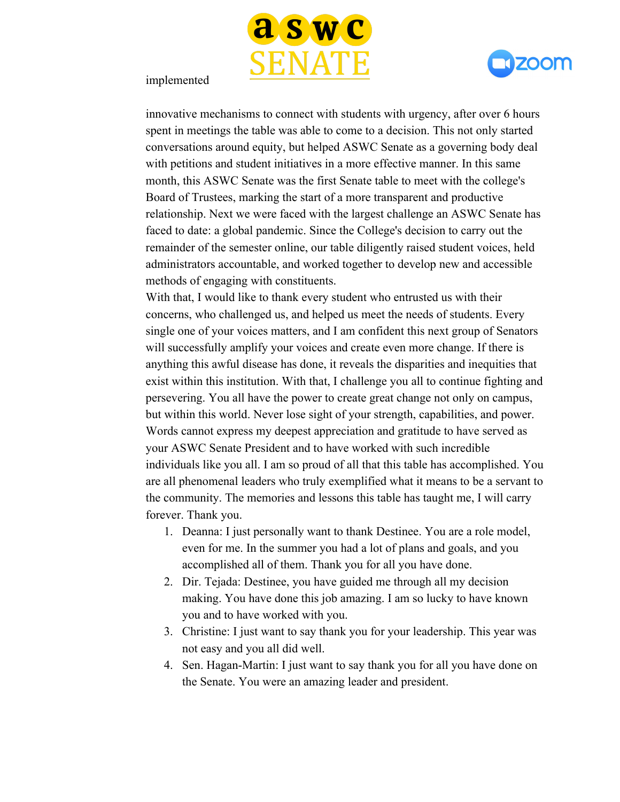



#### implemented

innovative mechanisms to connect with students with urgency, after over 6 hours spent in meetings the table was able to come to a decision. This not only started conversations around equity, but helped ASWC Senate as a governing body deal with petitions and student initiatives in a more effective manner. In this same month, this ASWC Senate was the first Senate table to meet with the college's Board of Trustees, marking the start of a more transparent and productive relationship. Next we were faced with the largest challenge an ASWC Senate has faced to date: a global pandemic. Since the College's decision to carry out the remainder of the semester online, our table diligently raised student voices, held administrators accountable, and worked together to develop new and accessible methods of engaging with constituents.

With that, I would like to thank every student who entrusted us with their concerns, who challenged us, and helped us meet the needs of students. Every single one of your voices matters, and I am confident this next group of Senators will successfully amplify your voices and create even more change. If there is anything this awful disease has done, it reveals the disparities and inequities that exist within this institution. With that, I challenge you all to continue fighting and persevering. You all have the power to create great change not only on campus, but within this world. Never lose sight of your strength, capabilities, and power. Words cannot express my deepest appreciation and gratitude to have served as your ASWC Senate President and to have worked with such incredible individuals like you all. I am so proud of all that this table has accomplished. You are all phenomenal leaders who truly exemplified what it means to be a servant to the community. The memories and lessons this table has taught me, I will carry forever. Thank you.

- 1. Deanna: I just personally want to thank Destinee. You are a role model, even for me. In the summer you had a lot of plans and goals, and you accomplished all of them. Thank you for all you have done.
- 2. Dir. Tejada: Destinee, you have guided me through all my decision making. You have done this job amazing. I am so lucky to have known you and to have worked with you.
- 3. Christine: I just want to say thank you for your leadership. This year was not easy and you all did well.
- 4. Sen. Hagan-Martin: I just want to say thank you for all you have done on the Senate. You were an amazing leader and president.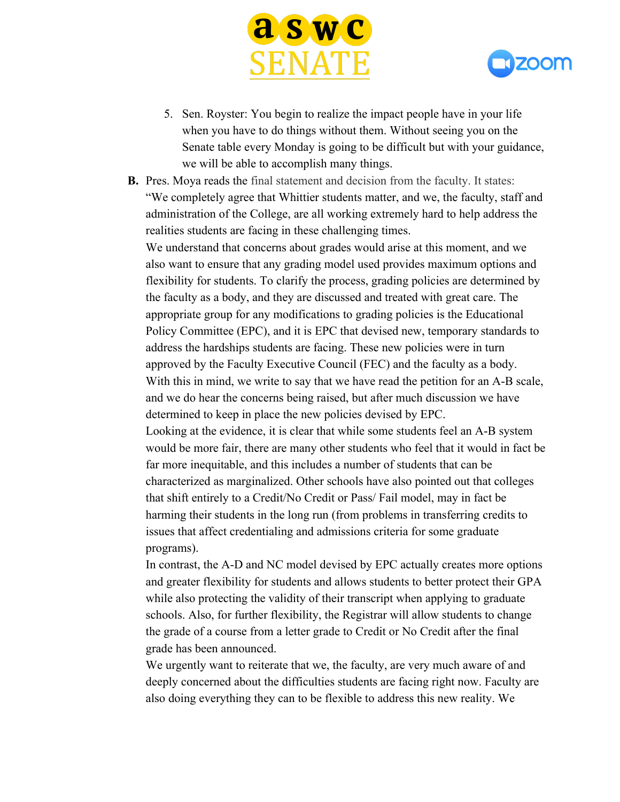



- 5. Sen. Royster: You begin to realize the impact people have in your life when you have to do things without them. Without seeing you on the Senate table every Monday is going to be difficult but with your guidance, we will be able to accomplish many things.
- **B.** Pres. Moya reads the final statement and decision from the faculty. It states: "We completely agree that Whittier students matter, and we, the faculty, staff and administration of the College, are all working extremely hard to help address the realities students are facing in these challenging times.

We understand that concerns about grades would arise at this moment, and we also want to ensure that any grading model used provides maximum options and flexibility for students. To clarify the process, grading policies are determined by the faculty as a body, and they are discussed and treated with great care. The appropriate group for any modifications to grading policies is the Educational Policy Committee (EPC), and it is EPC that devised new, temporary standards to address the hardships students are facing. These new policies were in turn approved by the Faculty Executive Council (FEC) and the faculty as a body. With this in mind, we write to say that we have read the petition for an A-B scale, and we do hear the concerns being raised, but after much discussion we have determined to keep in place the new policies devised by EPC.

Looking at the evidence, it is clear that while some students feel an A-B system would be more fair, there are many other students who feel that it would in fact be far more inequitable, and this includes a number of students that can be characterized as marginalized. Other schools have also pointed out that colleges that shift entirely to a Credit/No Credit or Pass/ Fail model, may in fact be harming their students in the long run (from problems in transferring credits to issues that affect credentialing and admissions criteria for some graduate programs).

In contrast, the A-D and NC model devised by EPC actually creates more options and greater flexibility for students and allows students to better protect their GPA while also protecting the validity of their transcript when applying to graduate schools. Also, for further flexibility, the Registrar will allow students to change the grade of a course from a letter grade to Credit or No Credit after the final grade has been announced.

We urgently want to reiterate that we, the faculty, are very much aware of and deeply concerned about the difficulties students are facing right now. Faculty are also doing everything they can to be flexible to address this new reality. We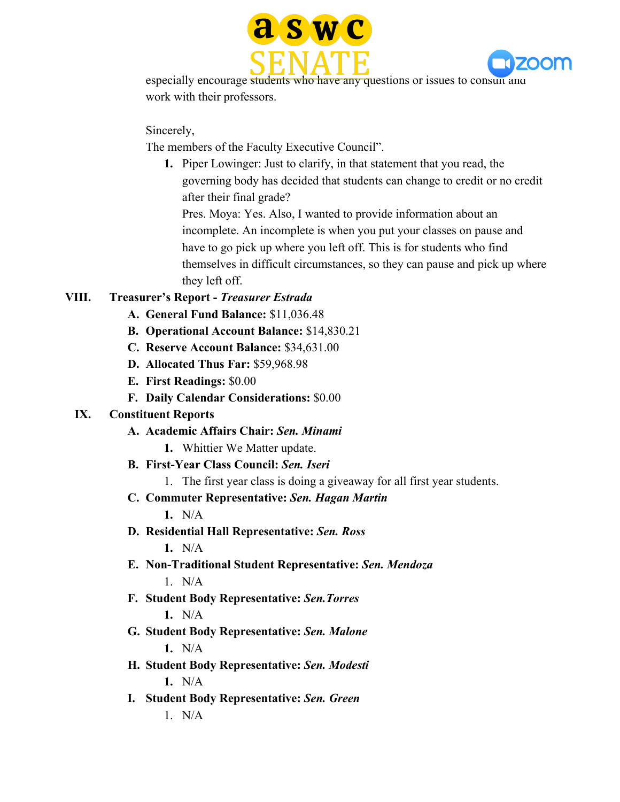



especially encourage students who have any questions or issues to consult and work with their professors.

Sincerely,

The members of the Faculty Executive Council".

**1.** Piper Lowinger: Just to clarify, in that statement that you read, the governing body has decided that students can change to credit or no credit after their final grade?

Pres. Moya: Yes. Also, I wanted to provide information about an incomplete. An incomplete is when you put your classes on pause and have to go pick up where you left off. This is for students who find themselves in difficult circumstances, so they can pause and pick up where they left off.

# **VIII. Treasurer's Report -** *Treasurer Estrada*

- **A. General Fund Balance:** \$11,036.48
- **B. Operational Account Balance:** \$14,830.21
- **C. Reserve Account Balance:** \$34,631.00
- **D. Allocated Thus Far:** \$59,968.98
- **E. First Readings:** \$0.00
- **F. Daily Calendar Considerations:** \$0.00

# **IX. Constituent Reports**

- **A. Academic Affairs Chair:** *Sen. Minami*
	- **1.** Whittier We Matter update.
- **B. First-Year Class Council:** *Sen. Iseri*
	- 1. The first year class is doing a giveaway for all first year students.
- **C. Commuter Representative:** *Sen. Hagan Martin*

**1.** N/A

- **D. Residential Hall Representative:** *Sen. Ross* **1.** N/A
- **E. Non-Traditional Student Representative:** *Sen. Mendoza*  $1$  N/A
- **F. Student Body Representative:** *Sen.Torres* **1.** N/A
- **G. Student Body Representative:** *Sen. Malone* **1.** N/A
- **H. Student Body Representative:** *Sen. Modesti* **1.** N/A
- **I. Student Body Representative:** *Sen. Green*  $1$  N/A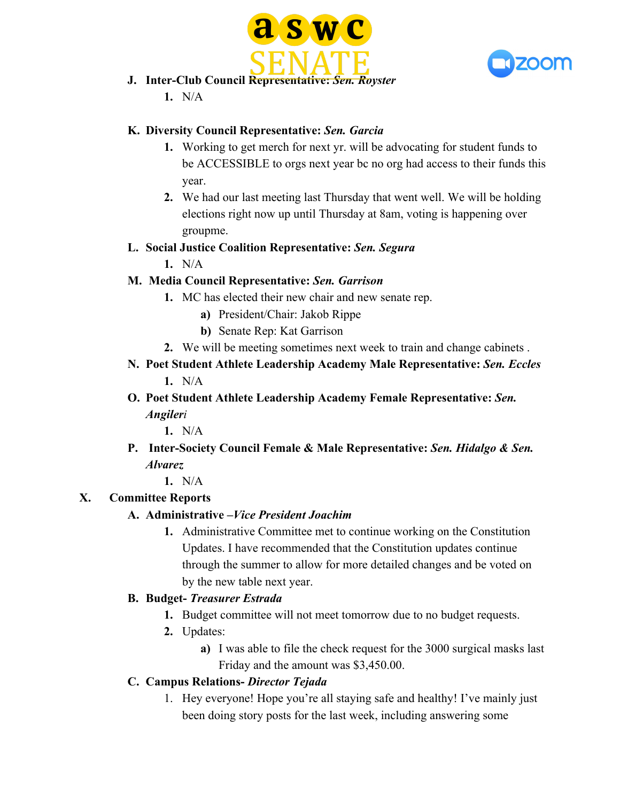



- **J. Inter-Club Council Representative:** *Sen. Royster*
	- **1.** N/A

# **K. Diversity Council Representative:** *Sen. Garcia*

- **1.** Working to get merch for next yr. will be advocating for student funds to be ACCESSIBLE to orgs next year bc no org had access to their funds this year.
- **2.** We had our last meeting last Thursday that went well. We will be holding elections right now up until Thursday at 8am, voting is happening over groupme.

# **L. Social Justice Coalition Representative:** *Sen. Segura*

**1.** N/A

# **M. Media Council Representative:** *Sen. Garrison*

- **1.** MC has elected their new chair and new senate rep.
	- **a)** President/Chair: Jakob Rippe
	- **b)** Senate Rep: Kat Garrison
- **2.** We will be meeting sometimes next week to train and change cabinets .
- **N. Poet Student Athlete Leadership Academy Male Representative:** *Sen. Eccles* **1.** N/A
- **O. Poet Student Athlete Leadership Academy Female Representative:** *Sen. Angileri*

**1.** N/A

- **P. Inter-Society Council Female & Male Representative:** *Sen. Hidalgo & Sen. Alvarez*
	- **1.** N/A

# **X. Committee Reports**

# **A. Administrative –***Vice President Joachim*

**1.** Administrative Committee met to continue working on the Constitution Updates. I have recommended that the Constitution updates continue through the summer to allow for more detailed changes and be voted on by the new table next year.

# **B. Budget-** *Treasurer Estrada*

- **1.** Budget committee will not meet tomorrow due to no budget requests.
- **2.** Updates:
	- **a)** I was able to file the check request for the 3000 surgical masks last Friday and the amount was \$3,450.00.

# **C. Campus Relations-** *Director Tejada*

1. Hey everyone! Hope you're all staying safe and healthy! I've mainly just been doing story posts for the last week, including answering some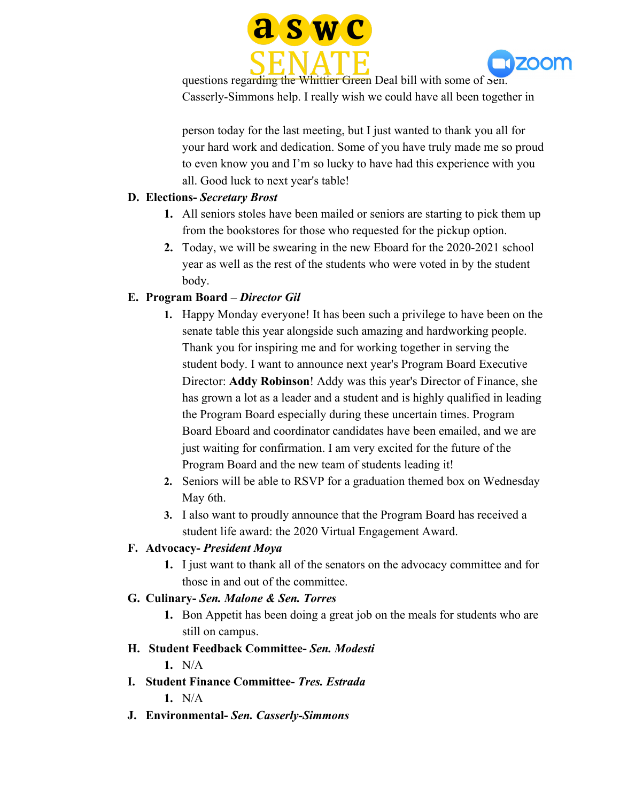



questions regarding the Whittier Green Deal bill with some of Sen. Casserly-Simmons help. I really wish we could have all been together in

person today for the last meeting, but I just wanted to thank you all for your hard work and dedication. Some of you have truly made me so proud to even know you and I'm so lucky to have had this experience with you all. Good luck to next year's table!

### **D. Elections-** *Secretary Brost*

- **1.** All seniors stoles have been mailed or seniors are starting to pick them up from the bookstores for those who requested for the pickup option.
- **2.** Today, we will be swearing in the new Eboard for the 2020-2021 school year as well as the rest of the students who were voted in by the student body.

# **E. Program Board –** *Director Gil*

- **1.** Happy Monday everyone! It has been such a privilege to have been on the senate table this year alongside such amazing and hardworking people. Thank you for inspiring me and for working together in serving the student body. I want to announce next year's Program Board Executive Director: **Addy Robinson**! Addy was this year's Director of Finance, she has grown a lot as a leader and a student and is highly qualified in leading the Program Board especially during these uncertain times. Program Board Eboard and coordinator candidates have been emailed, and we are just waiting for confirmation. I am very excited for the future of the Program Board and the new team of students leading it!
- **2.** Seniors will be able to RSVP for a graduation themed box on Wednesday May 6th.
- **3.** I also want to proudly announce that the Program Board has received a student life award: the 2020 Virtual Engagement Award.

# **F. Advocacy-** *President Moya*

**1.** I just want to thank all of the senators on the advocacy committee and for those in and out of the committee.

# **G. Culinary-** *Sen. Malone & Sen. Torres*

**1.** Bon Appetit has been doing a great job on the meals for students who are still on campus.

#### **H. Student Feedback Committee-** *Sen. Modesti*

- **1.** N/A
- **I. Student Finance Committee-** *Tres. Estrada* **1.** N/A
- **J. Environmental-** *Sen. Casserly-Simmons*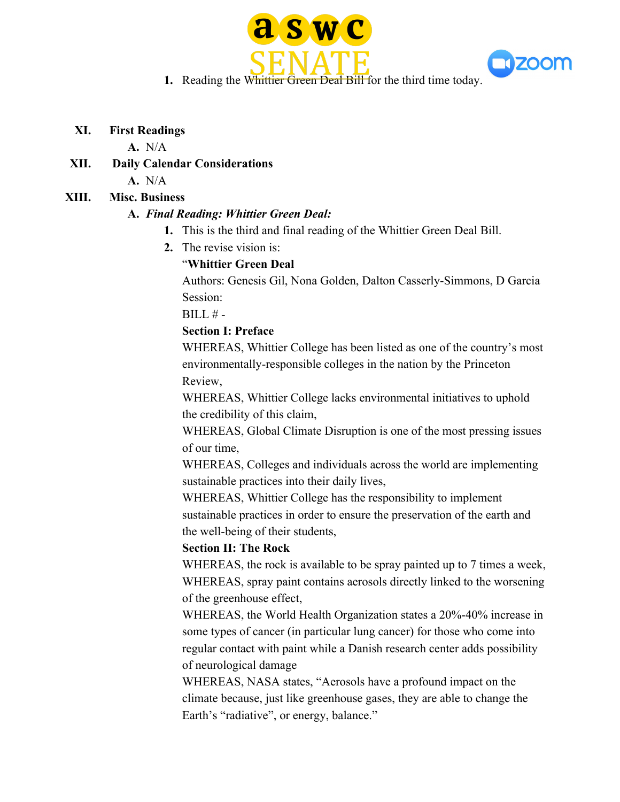



**1.** Reading the Whittier Green Deal Bill for the third time today.

#### **XI. First Readings**

#### **A.** N/A

**XII. Daily Calendar Considerations A.** N/A

# **XIII. Misc. Business**

# **A.** *Final Reading: Whittier Green Deal:*

- **1.** This is the third and final reading of the Whittier Green Deal Bill.
- **2.** The revise vision is:

# "**Whittier Green Deal**

Authors: Genesis Gil, Nona Golden, Dalton Casserly-Simmons, D Garcia Session:

 $BILL# -$ 

# **Section I: Preface**

WHEREAS, Whittier College has been listed as one of the country's most environmentally-responsible colleges in the nation by the Princeton Review,

WHEREAS, Whittier College lacks environmental initiatives to uphold the credibility of this claim,

WHEREAS, Global Climate Disruption is one of the most pressing issues of our time,

WHEREAS, Colleges and individuals across the world are implementing sustainable practices into their daily lives,

WHEREAS, Whittier College has the responsibility to implement sustainable practices in order to ensure the preservation of the earth and the well-being of their students,

# **Section II: The Rock**

WHEREAS, the rock is available to be spray painted up to 7 times a week, WHEREAS, spray paint contains aerosols directly linked to the worsening of the greenhouse effect,

WHEREAS, the World Health Organization states a 20%-40% increase in some types of cancer (in particular lung cancer) for those who come into regular contact with paint while a Danish research center adds possibility of neurological damage

WHEREAS, NASA states, "Aerosols have a profound impact on the climate because, just like greenhouse gases, they are able to change the Earth's "radiative", or energy, balance."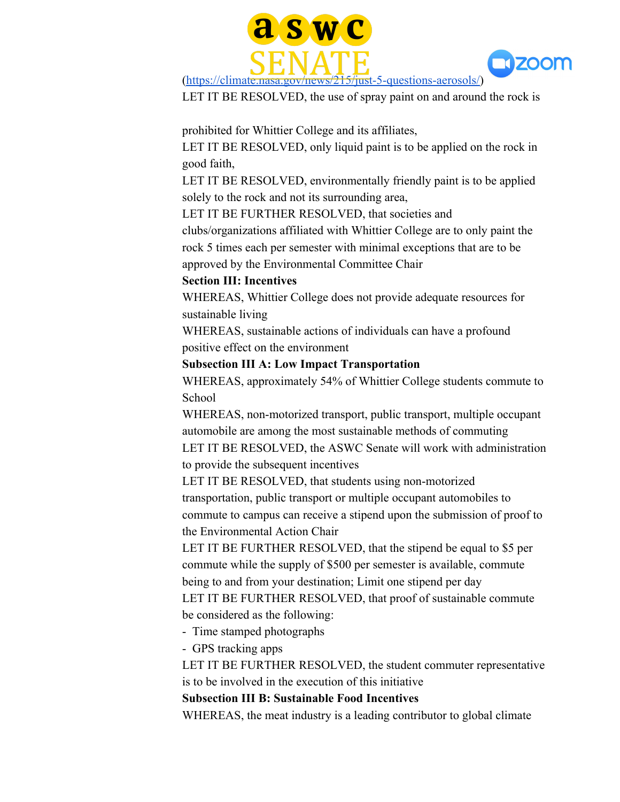



LET IT BE RESOLVED, the use of spray paint on and around the rock is

prohibited for Whittier College and its affiliates,

LET IT BE RESOLVED, only liquid paint is to be applied on the rock in good faith,

LET IT BE RESOLVED, environmentally friendly paint is to be applied solely to the rock and not its surrounding area,

LET IT BE FURTHER RESOLVED, that societies and

clubs/organizations affiliated with Whittier College are to only paint the rock 5 times each per semester with minimal exceptions that are to be approved by the Environmental Committee Chair

#### **Section III: Incentives**

WHEREAS, Whittier College does not provide adequate resources for sustainable living

WHEREAS, sustainable actions of individuals can have a profound positive effect on the environment

#### **Subsection III A: Low Impact Transportation**

WHEREAS, approximately 54% of Whittier College students commute to School

WHEREAS, non-motorized transport, public transport, multiple occupant automobile are among the most sustainable methods of commuting

LET IT BE RESOLVED, the ASWC Senate will work with administration to provide the subsequent incentives

LET IT BE RESOLVED, that students using non-motorized transportation, public transport or multiple occupant automobiles to commute to campus can receive a stipend upon the submission of proof to the Environmental Action Chair

LET IT BE FURTHER RESOLVED, that the stipend be equal to \$5 per commute while the supply of \$500 per semester is available, commute being to and from your destination; Limit one stipend per day

LET IT BE FURTHER RESOLVED, that proof of sustainable commute be considered as the following:

- Time stamped photographs

- GPS tracking apps

LET IT BE FURTHER RESOLVED, the student commuter representative is to be involved in the execution of this initiative

**Subsection III B: Sustainable Food Incentives**

WHEREAS, the meat industry is a leading contributor to global climate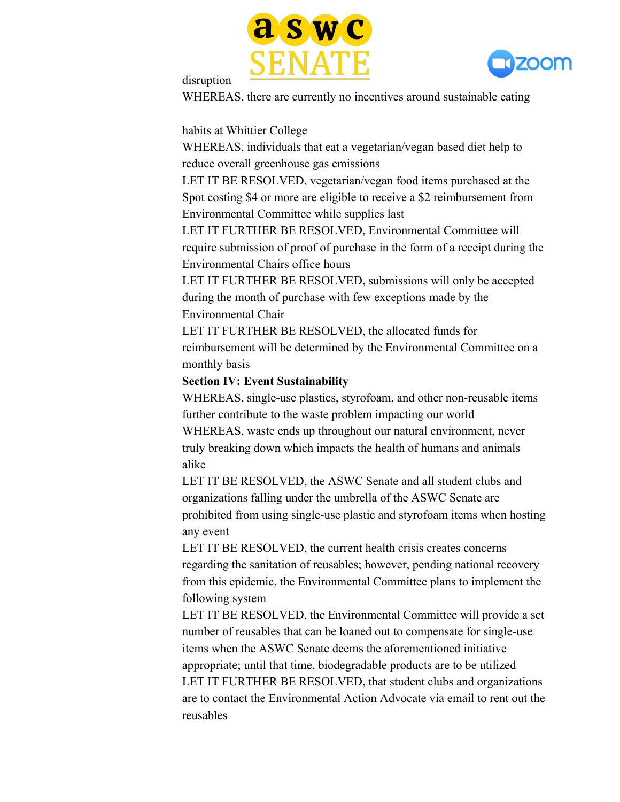



#### disruption

WHEREAS, there are currently no incentives around sustainable eating

habits at Whittier College

WHEREAS, individuals that eat a vegetarian/vegan based diet help to reduce overall greenhouse gas emissions

LET IT BE RESOLVED, vegetarian/vegan food items purchased at the Spot costing \$4 or more are eligible to receive a \$2 reimbursement from Environmental Committee while supplies last

LET IT FURTHER BE RESOLVED, Environmental Committee will require submission of proof of purchase in the form of a receipt during the Environmental Chairs office hours

LET IT FURTHER BE RESOLVED, submissions will only be accepted during the month of purchase with few exceptions made by the Environmental Chair

LET IT FURTHER BE RESOLVED, the allocated funds for reimbursement will be determined by the Environmental Committee on a monthly basis

#### **Section IV: Event Sustainability**

WHEREAS, single-use plastics, styrofoam, and other non-reusable items further contribute to the waste problem impacting our world

WHEREAS, waste ends up throughout our natural environment, never truly breaking down which impacts the health of humans and animals alike

LET IT BE RESOLVED, the ASWC Senate and all student clubs and organizations falling under the umbrella of the ASWC Senate are prohibited from using single-use plastic and styrofoam items when hosting any event

LET IT BE RESOLVED, the current health crisis creates concerns regarding the sanitation of reusables; however, pending national recovery from this epidemic, the Environmental Committee plans to implement the following system

LET IT BE RESOLVED, the Environmental Committee will provide a set number of reusables that can be loaned out to compensate for single-use items when the ASWC Senate deems the aforementioned initiative appropriate; until that time, biodegradable products are to be utilized LET IT FURTHER BE RESOLVED, that student clubs and organizations are to contact the Environmental Action Advocate via email to rent out the reusables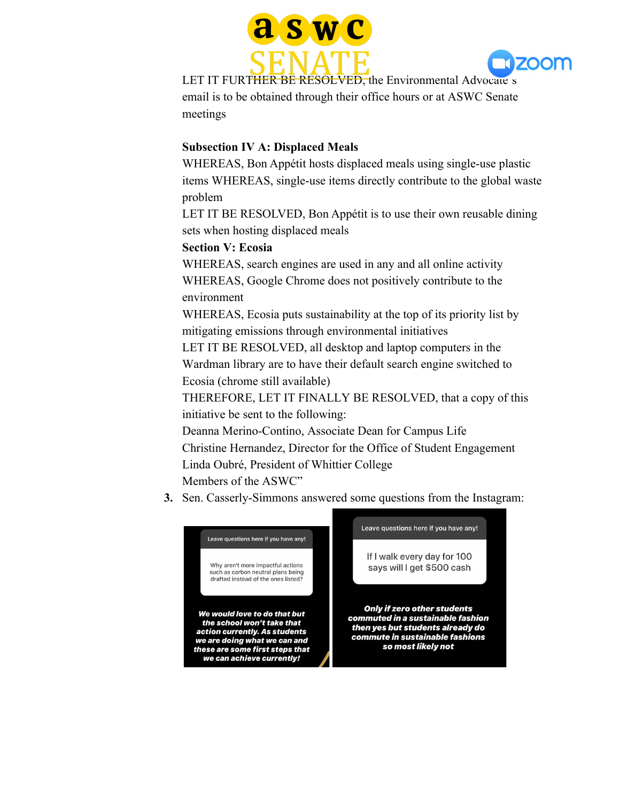



LET IT FURTHER BE RESOLVED, the Environmental Advocate's email is to be obtained through their office hours or at ASWC Senate meetings

#### **Subsection IV A: Displaced Meals**

WHEREAS, Bon Appétit hosts displaced meals using single-use plastic items WHEREAS, single-use items directly contribute to the global waste problem

LET IT BE RESOLVED, Bon Appétit is to use their own reusable dining sets when hosting displaced meals

### **Section V: Ecosia**

WHEREAS, search engines are used in any and all online activity WHEREAS, Google Chrome does not positively contribute to the environment

WHEREAS, Ecosia puts sustainability at the top of its priority list by mitigating emissions through environmental initiatives

LET IT BE RESOLVED, all desktop and laptop computers in the Wardman library are to have their default search engine switched to Ecosia (chrome still available)

THEREFORE, LET IT FINALLY BE RESOLVED, that a copy of this initiative be sent to the following:

Deanna Merino-Contino, Associate Dean for Campus Life Christine Hernandez, Director for the Office of Student Engagement Linda Oubré, President of Whittier College Members of the ASWC"

**3.** Sen. Casserly-Simmons answered some questions from the Instagram:

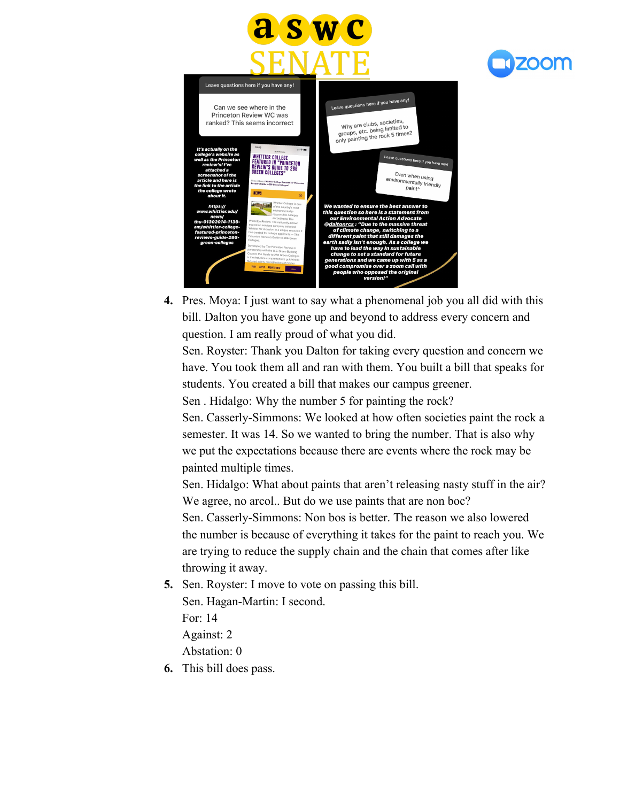



| Leave questions here if you have any!                                                                                                                                                                          |                                                                                                                                                                                                                                                                                                                                                                                                                                                                                                                                                                                                                     |                                                                                                                                                                                                                                                                                                                                                                                                                                                                                                                  |
|----------------------------------------------------------------------------------------------------------------------------------------------------------------------------------------------------------------|---------------------------------------------------------------------------------------------------------------------------------------------------------------------------------------------------------------------------------------------------------------------------------------------------------------------------------------------------------------------------------------------------------------------------------------------------------------------------------------------------------------------------------------------------------------------------------------------------------------------|------------------------------------------------------------------------------------------------------------------------------------------------------------------------------------------------------------------------------------------------------------------------------------------------------------------------------------------------------------------------------------------------------------------------------------------------------------------------------------------------------------------|
| Can we see where in the<br>Princeton Review WC was<br>ranked? This seems incorrect                                                                                                                             |                                                                                                                                                                                                                                                                                                                                                                                                                                                                                                                                                                                                                     | Leave questions here if you have any!<br>Why are clubs, societies,<br>groups, etc. being limited to<br>only painting the rock 5 times?                                                                                                                                                                                                                                                                                                                                                                           |
| It's actually on the<br>college's website as<br>well as the Princeton<br>review's! I've<br>attached a<br>screenshot of the<br>article and here is<br>the link to the article<br>the college wrote<br>about it. | 10:56<br>$-100$<br><b>A</b> nihittim avto<br><b>WHITTIER COLLEGE</b><br><b>FEATURED IN "PRINCETON</b><br><b>REVIEW'S GUIDE TO 286</b><br><b>GREEN COLLEGES"</b><br>Home / News / Whittier College Peatured in "Princeton<br>Review's Guide to 206 Green Colleges*<br><b>NFWS</b><br>Θ                                                                                                                                                                                                                                                                                                                               | Leave questions here if you have any!<br>Even when using<br>environmentally friendly<br>paint <sup>^</sup>                                                                                                                                                                                                                                                                                                                                                                                                       |
| https://<br>www.whittier.edu/<br>news/<br>thu-01302014-1139-<br>am/whittier-college-<br>featured-princeton-<br>reviews-auide-286-<br>green-colleges                                                            | Whittier College is one<br>of the country's most<br>environmentally-<br>responsible colleges<br>according to The<br>Princeton Review. The nationally-known<br>education services company selected<br>Whittier for inclusion in a unique resource it<br>has created for college applicants - The<br>Princeton Review's Guide to 286 Green<br>Colleges.<br>Developed by The Princeton Review in<br>partnership with the U.S. Green Building<br>Council, the Guide to 286 Green Colleges<br>is the first, free comprehensive guidebook<br>focused solely on institutions of higher<br>VISIT APPLY REQUEST INFO<br>Give | We wanted to ensure the best answer to<br>this question so here is a statement from<br>our Environmental Action Advocate<br>@daltonrcs : "Due to the massive threat<br>of climate change, switching to a<br>different paint that still damages the<br>earth sadly isn't enough. As a college we<br>have to lead the way In sustainable<br>change to set a standard for future<br>generations and we came up with 5 as a<br>good compromise over a zoom call with<br>people who opposed the original<br>version!" |

**4.** Pres. Moya: I just want to say what a phenomenal job you all did with this bill. Dalton you have gone up and beyond to address every concern and question. I am really proud of what you did.

Sen. Royster: Thank you Dalton for taking every question and concern we have. You took them all and ran with them. You built a bill that speaks for students. You created a bill that makes our campus greener.

Sen . Hidalgo: Why the number 5 for painting the rock?

Sen. Casserly-Simmons: We looked at how often societies paint the rock a semester. It was 14. So we wanted to bring the number. That is also why we put the expectations because there are events where the rock may be painted multiple times.

Sen. Hidalgo: What about paints that aren't releasing nasty stuff in the air? We agree, no arcol.. But do we use paints that are non boc?

Sen. Casserly-Simmons: Non bos is better. The reason we also lowered the number is because of everything it takes for the paint to reach you. We are trying to reduce the supply chain and the chain that comes after like throwing it away.

**5.** Sen. Royster: I move to vote on passing this bill.

Sen. Hagan-Martin: I second.

For: 14

Against: 2

Abstation: 0

**6.** This bill does pass.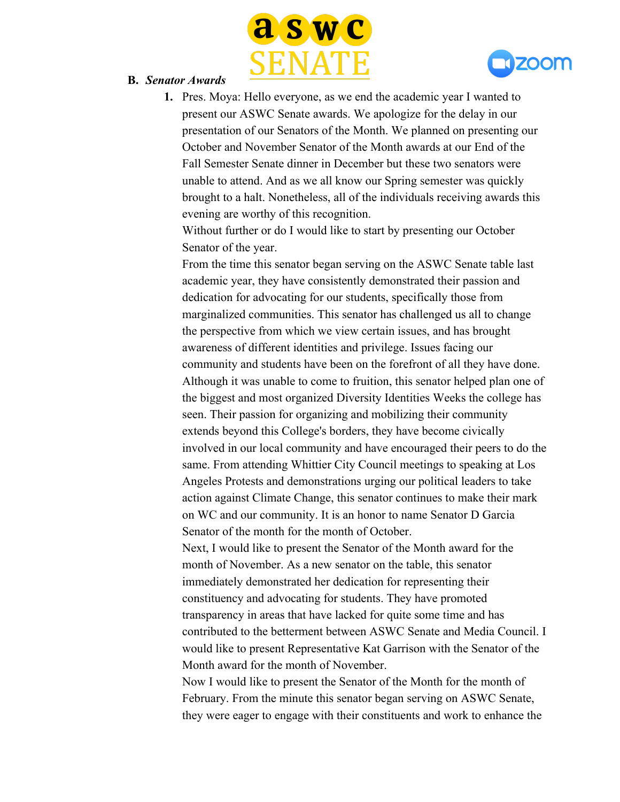



- **B.** *Senator Awards*
	- **1.** Pres. Moya: Hello everyone, as we end the academic year I wanted to present our ASWC Senate awards. We apologize for the delay in our presentation of our Senators of the Month. We planned on presenting our October and November Senator of the Month awards at our End of the Fall Semester Senate dinner in December but these two senators were unable to attend. And as we all know our Spring semester was quickly brought to a halt. Nonetheless, all of the individuals receiving awards this evening are worthy of this recognition.

Without further or do I would like to start by presenting our October Senator of the year.

From the time this senator began serving on the ASWC Senate table last academic year, they have consistently demonstrated their passion and dedication for advocating for our students, specifically those from marginalized communities. This senator has challenged us all to change the perspective from which we view certain issues, and has brought awareness of different identities and privilege. Issues facing our community and students have been on the forefront of all they have done. Although it was unable to come to fruition, this senator helped plan one of the biggest and most organized Diversity Identities Weeks the college has seen. Their passion for organizing and mobilizing their community extends beyond this College's borders, they have become civically involved in our local community and have encouraged their peers to do the same. From attending Whittier City Council meetings to speaking at Los Angeles Protests and demonstrations urging our political leaders to take action against Climate Change, this senator continues to make their mark on WC and our community. It is an honor to name Senator D Garcia Senator of the month for the month of October.

Next, I would like to present the Senator of the Month award for the month of November. As a new senator on the table, this senator immediately demonstrated her dedication for representing their constituency and advocating for students. They have promoted transparency in areas that have lacked for quite some time and has contributed to the betterment between ASWC Senate and Media Council. I would like to present Representative Kat Garrison with the Senator of the Month award for the month of November.

Now I would like to present the Senator of the Month for the month of February. From the minute this senator began serving on ASWC Senate, they were eager to engage with their constituents and work to enhance the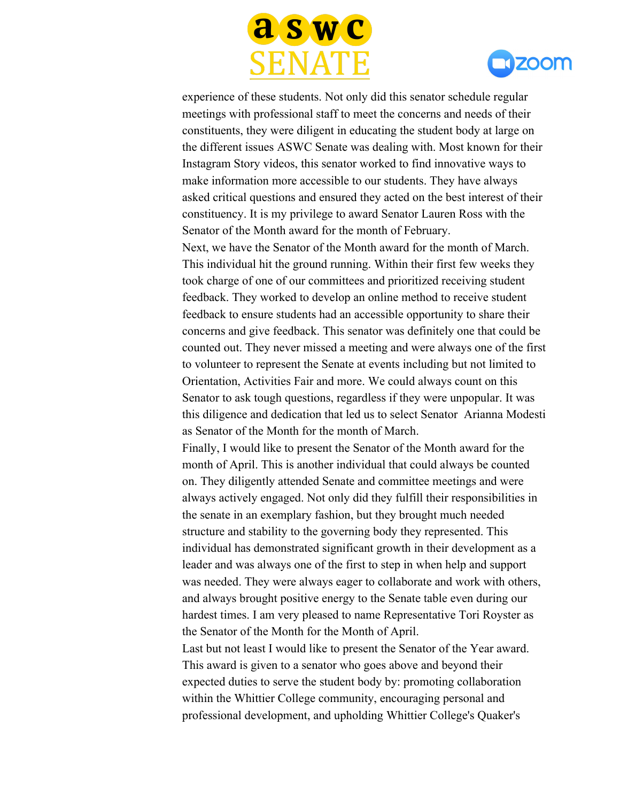



experience of these students. Not only did this senator schedule regular meetings with professional staff to meet the concerns and needs of their constituents, they were diligent in educating the student body at large on the different issues ASWC Senate was dealing with. Most known for their Instagram Story videos, this senator worked to find innovative ways to make information more accessible to our students. They have always asked critical questions and ensured they acted on the best interest of their constituency. It is my privilege to award Senator Lauren Ross with the Senator of the Month award for the month of February.

Next, we have the Senator of the Month award for the month of March. This individual hit the ground running. Within their first few weeks they took charge of one of our committees and prioritized receiving student feedback. They worked to develop an online method to receive student feedback to ensure students had an accessible opportunity to share their concerns and give feedback. This senator was definitely one that could be counted out. They never missed a meeting and were always one of the first to volunteer to represent the Senate at events including but not limited to Orientation, Activities Fair and more. We could always count on this Senator to ask tough questions, regardless if they were unpopular. It was this diligence and dedication that led us to select Senator Arianna Modesti as Senator of the Month for the month of March.

Finally, I would like to present the Senator of the Month award for the month of April. This is another individual that could always be counted on. They diligently attended Senate and committee meetings and were always actively engaged. Not only did they fulfill their responsibilities in the senate in an exemplary fashion, but they brought much needed structure and stability to the governing body they represented. This individual has demonstrated significant growth in their development as a leader and was always one of the first to step in when help and support was needed. They were always eager to collaborate and work with others, and always brought positive energy to the Senate table even during our hardest times. I am very pleased to name Representative Tori Royster as the Senator of the Month for the Month of April.

Last but not least I would like to present the Senator of the Year award. This award is given to a senator who goes above and beyond their expected duties to serve the student body by: promoting collaboration within the Whittier College community, encouraging personal and professional development, and upholding Whittier College's Quaker's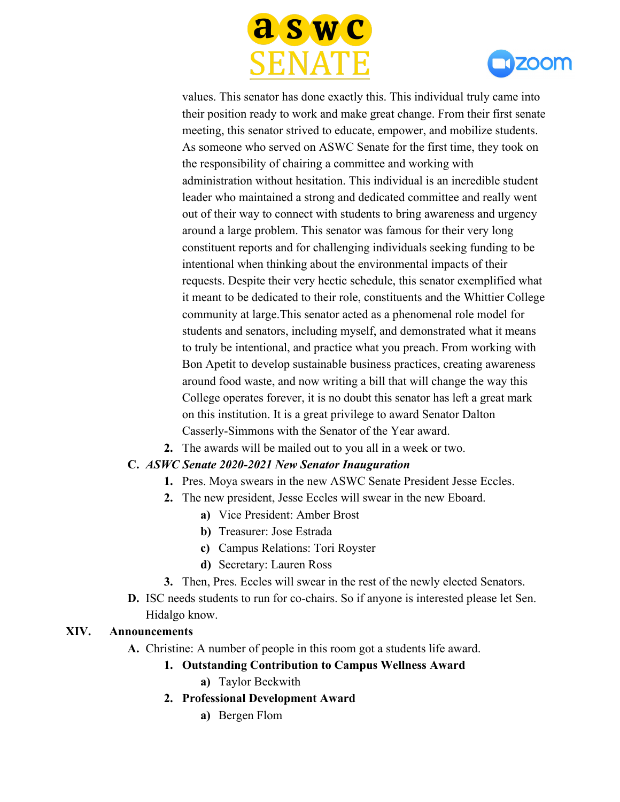



values. This senator has done exactly this. This individual truly came into their position ready to work and make great change. From their first senate meeting, this senator strived to educate, empower, and mobilize students. As someone who served on ASWC Senate for the first time, they took on the responsibility of chairing a committee and working with administration without hesitation. This individual is an incredible student leader who maintained a strong and dedicated committee and really went out of their way to connect with students to bring awareness and urgency around a large problem. This senator was famous for their very long constituent reports and for challenging individuals seeking funding to be intentional when thinking about the environmental impacts of their requests. Despite their very hectic schedule, this senator exemplified what it meant to be dedicated to their role, constituents and the Whittier College community at large.This senator acted as a phenomenal role model for students and senators, including myself, and demonstrated what it means to truly be intentional, and practice what you preach. From working with Bon Apetit to develop sustainable business practices, creating awareness around food waste, and now writing a bill that will change the way this College operates forever, it is no doubt this senator has left a great mark on this institution. It is a great privilege to award Senator Dalton Casserly-Simmons with the Senator of the Year award.

**2.** The awards will be mailed out to you all in a week or two.

#### **C.** *ASWC Senate 2020-2021 New Senator Inauguration*

- **1.** Pres. Moya swears in the new ASWC Senate President Jesse Eccles.
- **2.** The new president, Jesse Eccles will swear in the new Eboard.
	- **a)** Vice President: Amber Brost
	- **b)** Treasurer: Jose Estrada
	- **c)** Campus Relations: Tori Royster
	- **d)** Secretary: Lauren Ross
- **3.** Then, Pres. Eccles will swear in the rest of the newly elected Senators.
- **D.** ISC needs students to run for co-chairs. So if anyone is interested please let Sen. Hidalgo know.

#### **XIV. Announcements**

**A.** Christine: A number of people in this room got a students life award.

#### **1. Outstanding Contribution to Campus Wellness Award**

- **a)** Taylor Beckwith
- **2. Professional Development Award**
	- **a)** Bergen Flom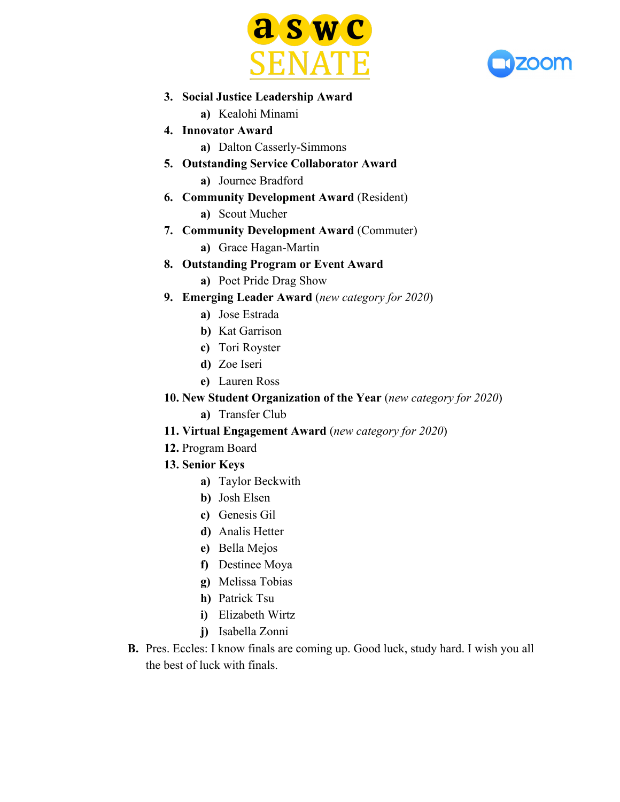



- **3. Social Justice Leadership Award**
	- **a)** Kealohi Minami
- **4. Innovator Award**
	- **a)** Dalton Casserly-Simmons
- **5. Outstanding Service Collaborator Award a)** Journee Bradford
- **6. Community Development Award** (Resident)
	- **a)** Scout Mucher
- **7. Community Development Award** (Commuter)
	- **a)** Grace Hagan-Martin
- **8. Outstanding Program or Event Award**
	- **a)** Poet Pride Drag Show
- **9. Emerging Leader Award** (*new category for 2020*)
	- **a)** Jose Estrada
	- **b)** Kat Garrison
	- **c)** Tori Royster
	- **d)** Zoe Iseri
	- **e)** Lauren Ross
- **10. New Student Organization of the Year** (*new category for 2020*)
	- **a)** Transfer Club
- **11. Virtual Engagement Award** (*new category for 2020*)
- **12.** Program Board
- **13. Senior Keys**
	- **a)** Taylor Beckwith
	- **b)** Josh Elsen
	- **c)** Genesis Gil
	- **d)** Analis Hetter
	- **e)** Bella Mejos
	- **f)** Destinee Moya
	- **g)** Melissa Tobias
	- **h)** Patrick Tsu
	- **i)** Elizabeth Wirtz
	- **j)** Isabella Zonni
- **B.** Pres. Eccles: I know finals are coming up. Good luck, study hard. I wish you all the best of luck with finals.